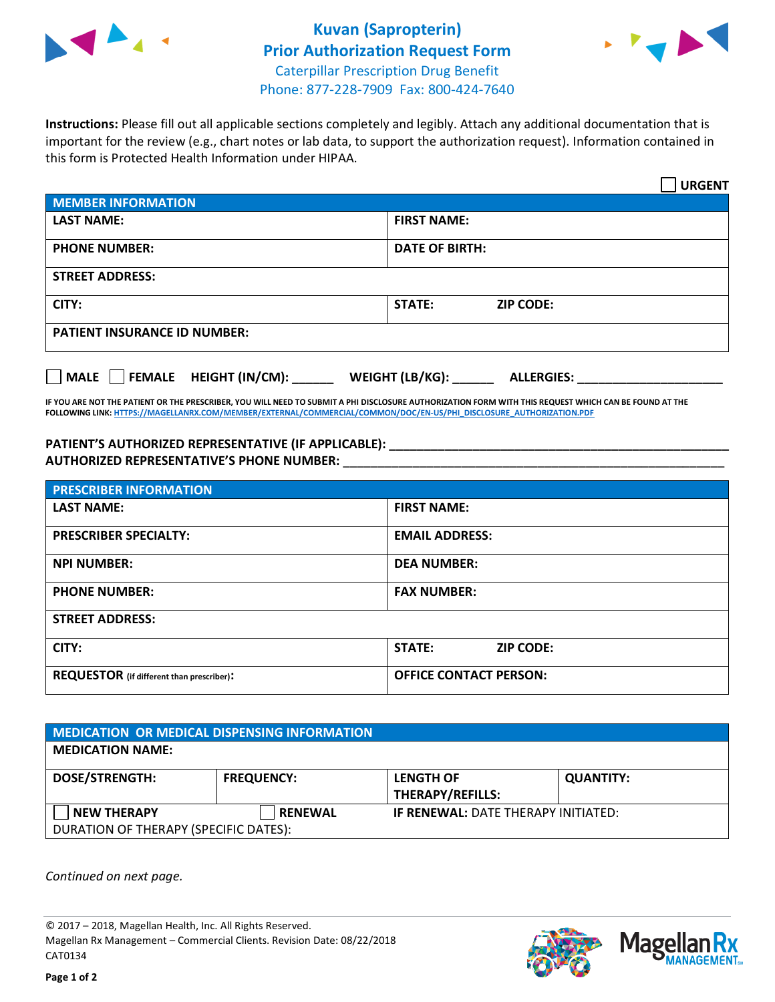



**Instructions:** Please fill out all applicable sections completely and legibly. Attach any additional documentation that is important for the review (e.g., chart notes or lab data, to support the authorization request). Information contained in this form is Protected Health Information under HIPAA.

|                                       | <b>URGENT</b>                        |  |  |  |
|---------------------------------------|--------------------------------------|--|--|--|
| <b>MEMBER INFORMATION</b>             |                                      |  |  |  |
| <b>LAST NAME:</b>                     | <b>FIRST NAME:</b>                   |  |  |  |
| <b>PHONE NUMBER:</b>                  | <b>DATE OF BIRTH:</b>                |  |  |  |
| <b>STREET ADDRESS:</b>                |                                      |  |  |  |
| CITY:                                 | <b>STATE:</b><br><b>ZIP CODE:</b>    |  |  |  |
| <b>PATIENT INSURANCE ID NUMBER:</b>   |                                      |  |  |  |
| FEMALE HEIGHT (IN/CM):<br><b>MALE</b> | WEIGHT (LB/KG):<br><b>ALLERGIES:</b> |  |  |  |

**IF YOU ARE NOT THE PATIENT OR THE PRESCRIBER, YOU WILL NEED TO SUBMIT A PHI DISCLOSURE AUTHORIZATION FORM WITH THIS REQUEST WHICH CAN BE FOUND AT THE FOLLOWING LINK[: HTTPS://MAGELLANRX.COM/MEMBER/EXTERNAL/COMMERCIAL/COMMON/DOC/EN-US/PHI\\_DISCLOSURE\\_AUTHORIZATION.PDF](https://magellanrx.com/member/external/commercial/common/doc/en-us/PHI_Disclosure_Authorization.pdf)**

**PATIENT'S AUTHORIZED REPRESENTATIVE (IF APPLICABLE): \_\_\_\_\_\_\_\_\_\_\_\_\_\_\_\_\_\_\_\_\_\_\_\_\_\_\_\_\_\_\_\_\_\_\_\_\_\_\_\_\_\_\_\_\_\_\_\_\_ AUTHORIZED REPRESENTATIVE'S PHONE NUMBER:** \_\_\_\_\_\_\_\_\_\_\_\_\_\_\_\_\_\_\_\_\_\_\_\_\_\_\_\_\_\_\_\_\_\_\_\_\_\_\_\_\_\_\_\_\_\_\_\_\_\_\_\_\_\_\_

| <b>PRESCRIBER INFORMATION</b>             |                                   |  |  |
|-------------------------------------------|-----------------------------------|--|--|
| <b>LAST NAME:</b>                         | <b>FIRST NAME:</b>                |  |  |
| <b>PRESCRIBER SPECIALTY:</b>              | <b>EMAIL ADDRESS:</b>             |  |  |
| <b>NPI NUMBER:</b>                        | <b>DEA NUMBER:</b>                |  |  |
| <b>PHONE NUMBER:</b>                      | <b>FAX NUMBER:</b>                |  |  |
| <b>STREET ADDRESS:</b>                    |                                   |  |  |
| CITY:                                     | <b>STATE:</b><br><b>ZIP CODE:</b> |  |  |
| REQUESTOR (if different than prescriber): | <b>OFFICE CONTACT PERSON:</b>     |  |  |

| <b>MEDICATION OR MEDICAL DISPENSING INFORMATION</b> |                   |                                            |                  |  |  |
|-----------------------------------------------------|-------------------|--------------------------------------------|------------------|--|--|
| <b>MEDICATION NAME:</b>                             |                   |                                            |                  |  |  |
| <b>DOSE/STRENGTH:</b>                               | <b>FREQUENCY:</b> | <b>LENGTH OF</b>                           | <b>QUANTITY:</b> |  |  |
|                                                     |                   | <b>THERAPY/REFILLS:</b>                    |                  |  |  |
| <b>NEW THERAPY</b>                                  | <b>RENEWAL</b>    | <b>IF RENEWAL: DATE THERAPY INITIATED:</b> |                  |  |  |
| DURATION OF THERAPY (SPECIFIC DATES):               |                   |                                            |                  |  |  |

*Continued on next page.*

© 2017 – 2018, Magellan Health, Inc. All Rights Reserved. Magellan Rx Management – Commercial Clients. Revision Date: 08/22/2018 CAT0134